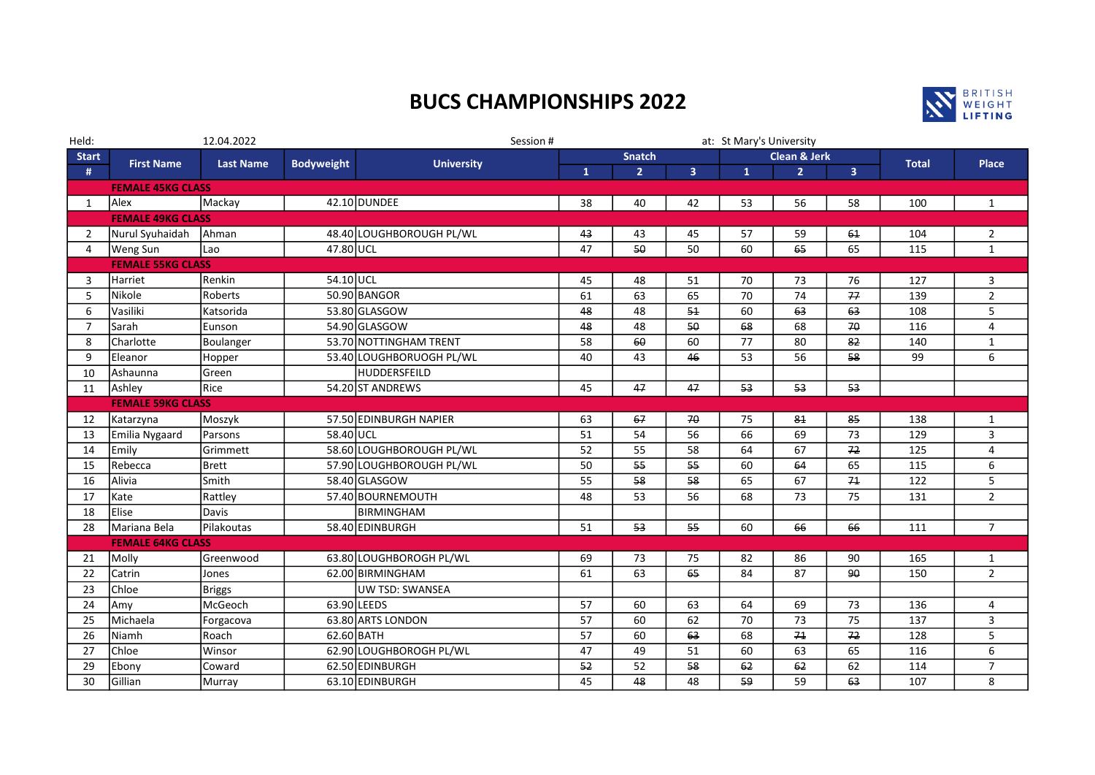## BUCS CHAMPIONSHIPS 2022



| Held:                    | 12.04.2022               |                  | Session #         |                          |               | at: St Mary's University |                         |                         |                 |                         |              |                |
|--------------------------|--------------------------|------------------|-------------------|--------------------------|---------------|--------------------------|-------------------------|-------------------------|-----------------|-------------------------|--------------|----------------|
| <b>Start</b>             | <b>First Name</b>        | <b>Last Name</b> | <b>Bodyweight</b> | <b>University</b>        | <b>Snatch</b> |                          |                         | <b>Clean &amp; Jerk</b> |                 |                         | <b>Total</b> | Place          |
| #                        |                          |                  |                   |                          | $\mathbf{1}$  | $\overline{2}$           | $\overline{\mathbf{3}}$ | $\mathbf{1}$            | $\overline{2}$  | $\overline{\mathbf{3}}$ |              |                |
| <b>FEMALE 45KG CLASS</b> |                          |                  |                   |                          |               |                          |                         |                         |                 |                         |              |                |
| 1                        | Alex                     | Mackay           |                   | 42.10 DUNDEE             | 38            | 40                       | 42                      | 53                      | 56              | 58                      | 100          | $\mathbf{1}$   |
|                          | <b>FEMALE 49KG CLASS</b> |                  |                   |                          |               |                          |                         |                         |                 |                         |              |                |
| $\overline{2}$           | Nurul Syuhaidah          | Ahman            |                   | 48.40 LOUGHBOROUGH PL/WL | 43            | 43                       | 45                      | 57                      | 59              | 61                      | 104          | $\overline{2}$ |
| $\overline{4}$           | <b>Weng Sun</b>          | Lao              | 47.80 UCL         |                          | 47            | 50                       | 50                      | 60                      | 65              | 65                      | 115          | $\mathbf{1}$   |
|                          | <b>FEMALE 55KG CLASS</b> |                  |                   |                          |               |                          |                         |                         |                 |                         |              |                |
| 3                        | <b>Harriet</b>           | Renkin           | 54.10 UCL         |                          | 45            | 48                       | 51                      | 70                      | 73              | 76                      | 127          | 3              |
| 5                        | <b>Nikole</b>            | Roberts          |                   | 50.90 BANGOR             | 61            | 63                       | 65                      | 70                      | 74              | 77                      | 139          | $\overline{2}$ |
| 6                        | Vasiliki                 | Katsorida        |                   | 53.80 GLASGOW            | 48            | 48                       | 51                      | 60                      | 63              | 63                      | 108          | 5              |
| $\overline{7}$           | Sarah                    | Eunson           |                   | 54.90 GLASGOW            | 48            | 48                       | 50                      | 68                      | 68              | 70                      | 116          | $\overline{4}$ |
| 8                        | Charlotte                | Boulanger        |                   | 53.70 NOTTINGHAM TRENT   | 58            | 60                       | 60                      | 77                      | 80              | 82                      | 140          | $\mathbf{1}$   |
| 9                        | Eleanor                  | Hopper           |                   | 53.40 LOUGHBORUOGH PL/WL | 40            | 43                       | 46                      | $\overline{53}$         | $\overline{56}$ | 58                      | 99           | 6              |
| 10                       | Ashaunna                 | Green            |                   | HUDDERSFEILD             |               |                          |                         |                         |                 |                         |              |                |
| 11                       | Ashley                   | Rice             |                   | 54.20 ST ANDREWS         | 45            | 47                       | 47                      | 53                      | 53              | 53                      |              |                |
|                          | <b>FEMALE 59KG CLASS</b> |                  |                   |                          |               |                          |                         |                         |                 |                         |              |                |
| 12                       | Katarzyna                | Moszyk           |                   | 57.50 EDINBURGH NAPIER   | 63            | 67                       | 70                      | 75                      | 81              | 85                      | 138          | $\mathbf{1}$   |
| 13                       | Emilia Nygaard           | Parsons          | 58.40 UCL         |                          | 51            | 54                       | 56                      | 66                      | 69              | 73                      | 129          | 3              |
| 14                       | Emily                    | Grimmett         |                   | 58.60 LOUGHBOROUGH PL/WL | 52            | 55                       | 58                      | 64                      | 67              | 72                      | 125          | 4              |
| 15                       | Rebecca                  | <b>Brett</b>     |                   | 57.90 LOUGHBOROUGH PL/WL | 50            | 55                       | 55                      | 60                      | 64              | 65                      | 115          | 6              |
| 16                       | lAlivia                  | Smith            |                   | 58.40 GLASGOW            | 55            | 58                       | 58                      | 65                      | 67              | 71                      | 122          | 5              |
| 17                       | Kate                     | Rattley          |                   | 57.40 BOURNEMOUTH        | 48            | 53                       | 56                      | 68                      | 73              | 75                      | 131          | $2^{\circ}$    |
| 18                       | <b>Elise</b>             | <b>Davis</b>     |                   | <b>BIRMINGHAM</b>        |               |                          |                         |                         |                 |                         |              |                |
| 28                       | Mariana Bela             | Pilakoutas       |                   | 58.40 EDINBURGH          | 51            | 53                       | 55                      | 60                      | 66              | 66                      | 111          | $\overline{7}$ |
|                          | <b>FEMALE 64KG CLASS</b> |                  |                   |                          |               |                          |                         |                         |                 |                         |              |                |
| 21                       | Molly                    | Greenwood        |                   | 63.80 LOUGHBOROGH PL/WL  | 69            | 73                       | 75                      | 82                      | 86              | 90                      | 165          | $\mathbf{1}$   |
| 22                       | Catrin                   | Jones            |                   | 62.00 BIRMINGHAM         | 61            | 63                       | 65                      | 84                      | 87              | 90                      | 150          | $2^{\circ}$    |
| 23                       | Chloe                    | <b>Briggs</b>    |                   | <b>UW TSD: SWANSEA</b>   |               |                          |                         |                         |                 |                         |              |                |
| 24                       | <b>Amy</b>               | McGeoch          |                   | 63.90 LEEDS              | 57            | 60                       | 63                      | 64                      | 69              | 73                      | 136          | 4              |
| 25                       | <b>Michaela</b>          | Forgacova        |                   | 63.80 ARTS LONDON        | 57            | 60                       | 62                      | 70                      | 73              | 75                      | 137          | 3              |
| 26                       | Niamh                    | Roach            | 62.60 BATH        |                          | 57            | 60                       | 63                      | 68                      | 71              | 72                      | 128          | 5              |
| 27                       | Chloe                    | Winsor           |                   | 62.90 LOUGHBOROGH PL/WL  | 47            | 49                       | 51                      | 60                      | 63              | 65                      | 116          | 6              |
| 29                       | Ebony                    | Coward           |                   | 62.50 EDINBURGH          | 52            | 52                       | 58                      | 62                      | 62              | 62                      | 114          | $\overline{7}$ |
| 30                       | Gillian                  | Murray           |                   | 63.10 EDINBURGH          | 45            | 48                       | 48                      | 59                      | 59              | 63                      | 107          | 8              |